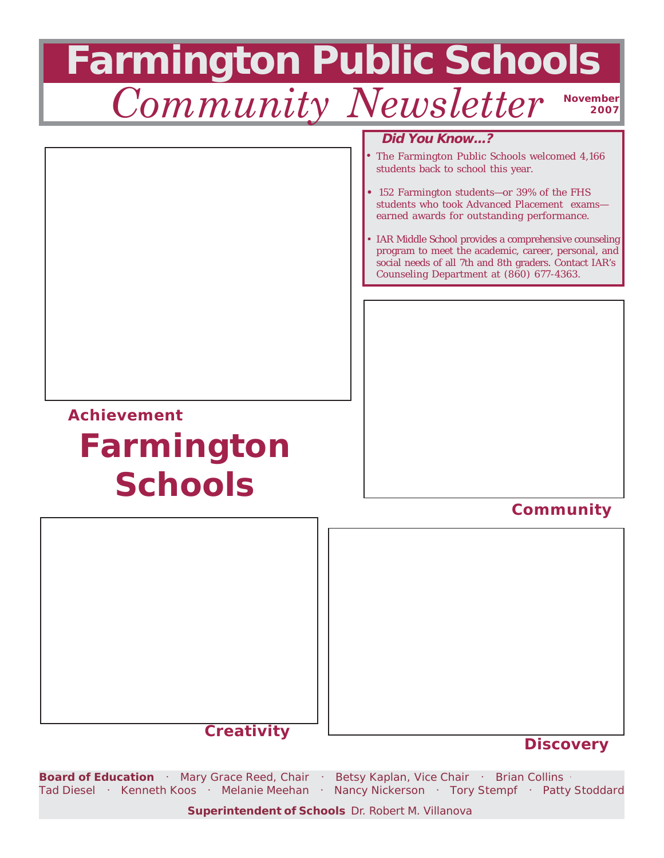

**Superintendent of Schools** Dr. Robert M. Villanova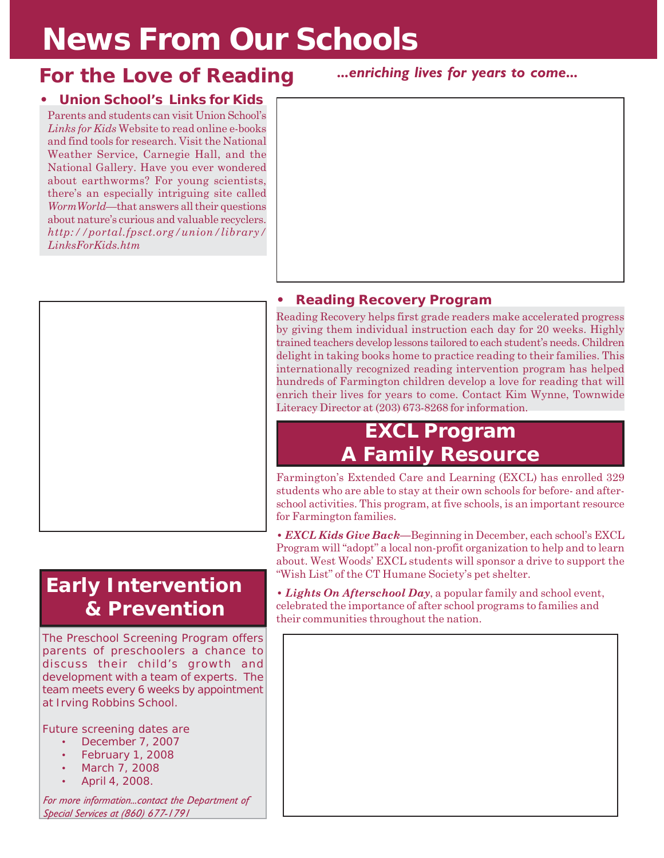# **News From Our Schools**

#### **For the Love of Reading**

#### **• Union School's** *Links for Kids*

Parents and students can visit Union School's *Links for Kids* Website to read online e-books and find tools for research. Visit the National Weather Service, Carnegie Hall, and the National Gallery. Have you ever wondered about earthworms? For young scientists, there's an especially intriguing site called *WormWorld*—that answers all their questions about nature's curious and valuable recyclers. *http://portal.fpsct.org/union/library/ LinksForKids.htm*



*...enriching lives for years to come...*



#### **• Reading Recovery Program**

Reading Recovery helps first grade readers make accelerated progress by giving them individual instruction each day for 20 weeks. Highly trained teachers develop lessons tailored to each student's needs. Children delight in taking books home to practice reading to their families. This internationally recognized reading intervention program has helped hundreds of Farmington children develop a love for reading that will enrich their lives for years to come. Contact Kim Wynne, Townwide Literacy Director at (203) 673-8268 for information.

### **EXCL Program A Family Resource**

Farmington's Extended Care and Learning (EXCL) has enrolled 329 students who are able to stay at their own schools for before- and afterschool activities. This program, at five schools, is an important resource for Farmington families.

**•** *EXCL Kids Give Back***—**Beginning in December, each school's EXCL Program will "adopt" a local non-profit organization to help and to learn about. West Woods' EXCL students will sponsor a drive to support the "Wish List" of the CT Humane Society's pet shelter.

**•** *Lights On Afterschool Day*, a popular family and school event, celebrated the importance of after school programs to families and their communities throughout the nation.

### **Early Intervention & Prevention**

The Preschool Screening Program offers parents of preschoolers a chance to discuss their child's growth and development with a team of experts. The team meets every 6 weeks by appointment at Irving Robbins School.

Future screening dates are

- December 7, 2007
- February 1, 2008
- March 7, 2008
- April 4, 2008.

*For more information...contact the Department of Special Services at (860) 677-1791*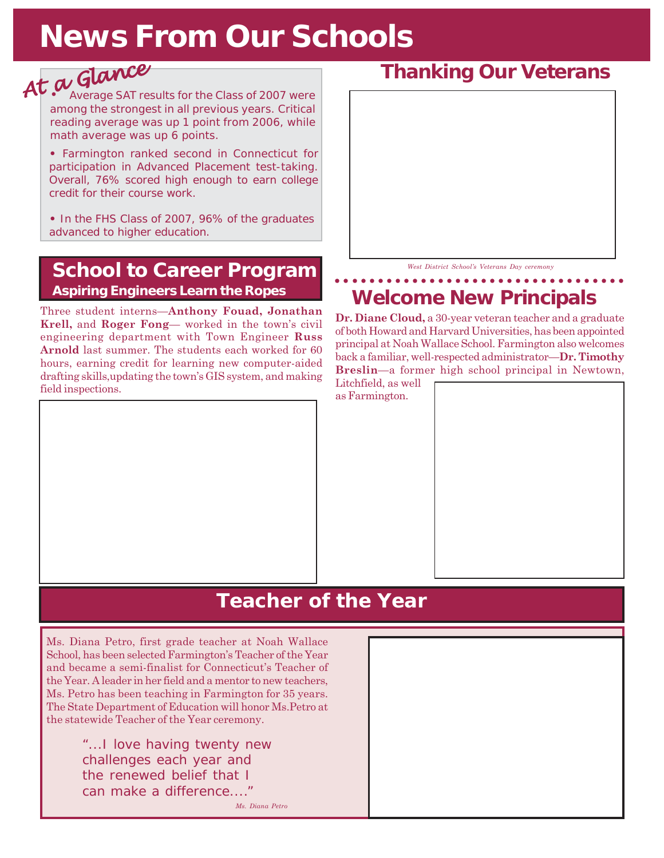# **News From Our Schools**

# *At a Glance At Glance*• Average SAT results for the Class of 2007 were

among the strongest in all previous years. Critical reading average was up 1 point from 2006, while math average was up 6 points.

**•** Farmington ranked second in Connecticut for participation in Advanced Placement test-taking. Overall, 76% scored high enough to earn college credit for their course work.

**•** In the FHS Class of 2007, 96% of the graduates advanced to higher education.

#### **School to Career Program Aspiring Engineers Learn the Ropes**

Three student interns—**Anthony Fouad, Jonathan Krell,** and **Roger Fong**— worked in the town's civil engineering department with Town Engineer **Russ Arnold** last summer. The students each worked for 60 hours, earning credit for learning new computer-aided drafting skills,updating the town's GIS system, and making field inspections.



#### *West District School's Veterans Day ceremony*

#### **Welcome New Principals** ○○○○○○○○○○○○○○○○○○○○○○○○○○○○○○○○○○

**Dr. Diane Cloud,** a 30-year veteran teacher and a graduate of both Howard and Harvard Universities, has been appointed principal at Noah Wallace School. Farmington also welcomes back a familiar, well-respected administrator—**Dr. Timothy Breslin**—a former high school principal in Newtown,



### **Teacher of the Year**

Ms. Diana Petro, first grade teacher at Noah Wallace School, has been selected Farmington's Teacher of the Year and became a semi-finalist for Connecticut's Teacher of the Year. A leader in her field and a mentor to new teachers, Ms. Petro has been teaching in Farmington for 35 years. The State Department of Education will honor Ms.Petro at the statewide Teacher of the Year ceremony.

> "...I love having twenty new challenges each year and the renewed belief that I can make a difference...." *Ms. Diana Petro*

#### **Thanking Our Veterans**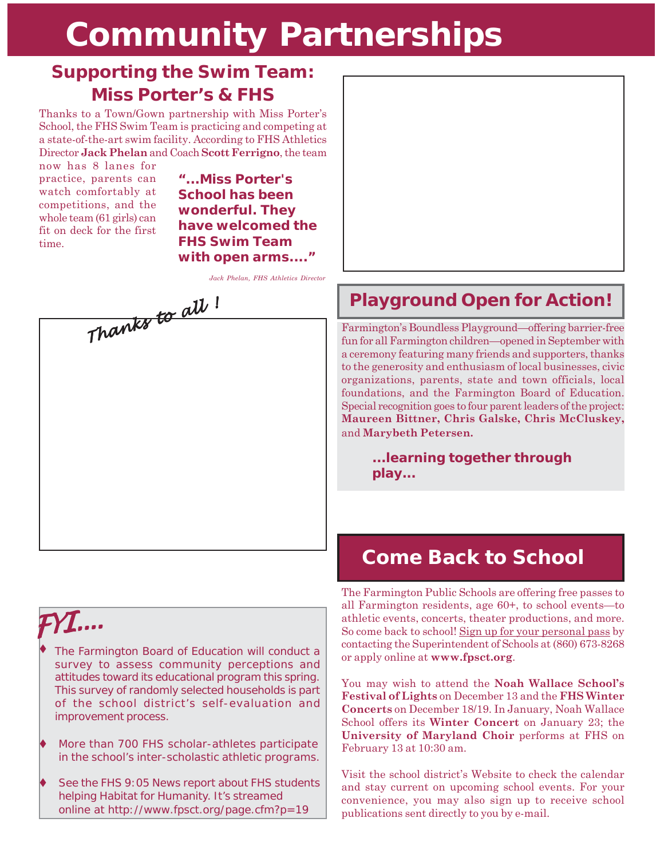# **Community Partnerships**

#### **Supporting the Swim Team: Miss Porter's & FHS**

Thanks to a Town/Gown partnership with Miss Porter's School, the FHS Swim Team is practicing and competing at a state-of-the-art swim facility. According to FHS Athletics Director **Jack Phelan** and Coach **Scott Ferrigno**, the team

now has 8 lanes for practice, parents can watch comfortably at competitions, and the whole team (61 girls) can fit on deck for the first time.

**"...Miss Porter's School has been wonderful. They have welcomed the FHS Swim Team with open arms...."**

*Jack Phelan, FHS Athletics Director*

*Thanks to all ! Thanks all* 

## *FYI....*

- The Farmington Board of Education will conduct a survey to assess community perceptions and attitudes toward its educational program this spring. This survey of randomly selected households is part of the school district's self-evaluation and improvement process. ♦
- More than 700 FHS scholar-athletes participate in the school's inter-scholastic athletic programs.
- See the FHS *9:05 News* report about FHS students helping Habitat for Humanity. It's streamed online at *http://www.fpsct.org/page.cfm?p=19*



### **Playground Open for Action!**

Farmington's Boundless Playground—offering barrier-free fun for all Farmington children—opened in September with a ceremony featuring many friends and supporters, thanks to the generosity and enthusiasm of local businesses, civic organizations, parents, state and town officials, local foundations, and the Farmington Board of Education. Special recognition goes to four parent leaders of the project: **Maureen Bittner, Chris Galske, Chris McCluskey,** and **Marybeth Petersen.**

> **...learning together through play...**

The Farmington Public Schools are offering free passes to all Farmington residents, age 60+, to school events—to athletic events, concerts, theater productions, and more. So come back to school! Sign up for your personal pass by contacting the Superintendent of Schools at (860) 673-8268 or apply online at **www.fpsct.org**. **Come Back to School**<br> **FYI....**<br> **FYI....**<br> **FYI....**<br> **FYI....**<br> **FYI....**<br> **FYI....**<br> **FRI....**<br> **FRI....**<br> **FRI....**<br> **FRI....**<br> **FRI....**<br> **FRI....**<br> **FRI....**<br> **FRI....**<br> **FRI....**<br> **FRI....**<br> **FRI....**<br> **FRI....**<br>

> You may wish to attend the **Noah Wallace School's Festival of Lights** on December 13 and the **FHS Winter Concerts** on December 18/19. In January, Noah Wallace School offers its **Winter Concert** on January 23; the **University of Maryland Choir** performs at FHS on February 13 at 10:30 am.

> Visit the school district's Website to check the calendar and stay current on upcoming school events. For your convenience, you may also sign up to receive school publications sent directly to you by e-mail.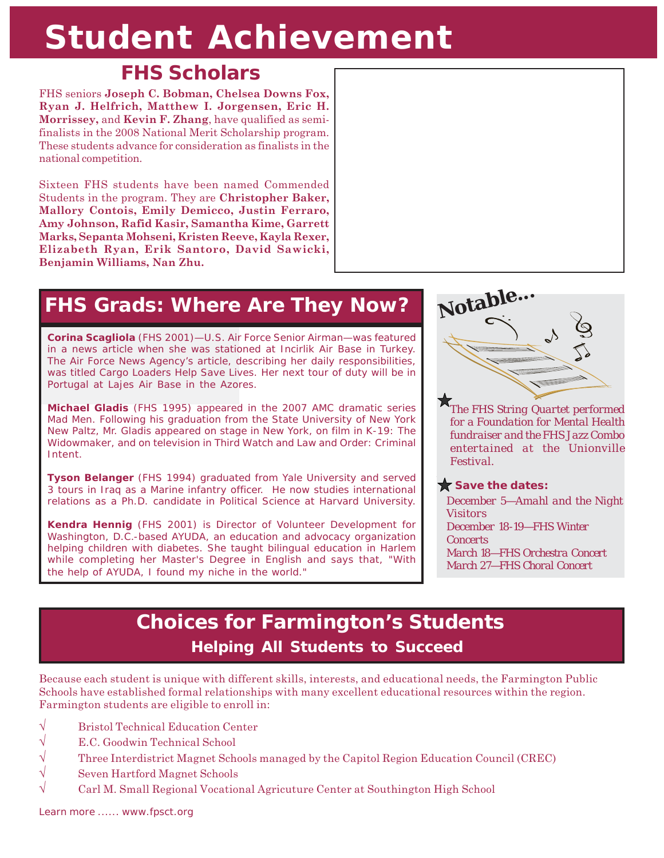# **Student Achievement**

### **FHS Scholars**

FHS seniors **Joseph C. Bobman, Chelsea Downs Fox, Ryan J. Helfrich, Matthew I. Jorgensen, Eric H. Morrissey,** and **Kevin F. Zhang**, have qualified as semifinalists in the 2008 National Merit Scholarship program. These students advance for consideration as finalists in the national competition.

Sixteen FHS students have been named Commended Students in the program. They are **Christopher Baker, Mallory Contois, Emily Demicco, Justin Ferraro, Amy Johnson, Rafid Kasir, Samantha Kime, Garrett Marks, Sepanta Mohseni, Kristen Reeve, Kayla Rexer, Elizabeth Ryan, Erik Santoro, David Sawicki, Benjamin Williams, Nan Zhu.**

### **FHS Grads: Where Are They Now?**

**Corina Scagliola** (FHS 2001)—U.S. Air Force Senior Airman—was featured in a news article when she was stationed at Incirlik Air Base in Turkey. The Air Force News Agency's article, describing her daily responsibilities, was titled *Cargo Loaders Help Save Lives.* Her next tour of duty will be in Portugal at Lajes Air Base in the Azores.

**Michael Gladis** (FHS 1995) appeared in the 2007 AMC dramatic series *Mad Men*. Following his graduation from the State University of New York New Paltz, Mr. Gladis appeared on stage in New York, on film in *K-19: The Widowmaker,* and on television in *Third Watch* and *Law and Order: Criminal Intent*.

**Tyson Belanger** (FHS 1994) graduated from Yale University and served 3 tours in Iraq as a Marine infantry officer. He now studies international relations as a Ph.D. candidate in Political Science at Harvard University.

**Kendra Hennig** (FHS 2001) is Director of Volunteer Development for Washington, D.C.-based AYUDA, an education and advocacy organization helping children with diabetes. She taught bilingual education in Harlem while completing her Master's Degree in English and says that, "With the help of AYUDA, I found my niche in the world."



*The FHS String Quartet performed for a Foundation for Mental Health fundraiser and the FHS Jazz Combo entertained at the Unionville Festival.*

#### Save the dates:

*December 5—Amahl and the Night Visitors December 18-19—FHS Winter Concerts March 18—FHS Orchestra Concert March 27—FHS Choral Concert*

### **Choices for Farmington's Students Helping All Students to Succeed**

Because each student is unique with different skills, interests, and educational needs, the Farmington Public Schools have established formal relationships with many excellent educational resources within the region. Farmington students are eligible to enroll in:

- √ Bristol Technical Education Center
- $\sqrt{\phantom{a}}$  E.C. Goodwin Technical School
- √ Three Interdistrict Magnet Schools managed by the Capitol Region Education Council (CREC)
- $\sqrt{\phantom{a}}$  Seven Hartford Magnet Schools
- √ Carl M. Small Regional Vocational Agricuture Center at Southington High School

*Learn more ...... www.fpsct.org*